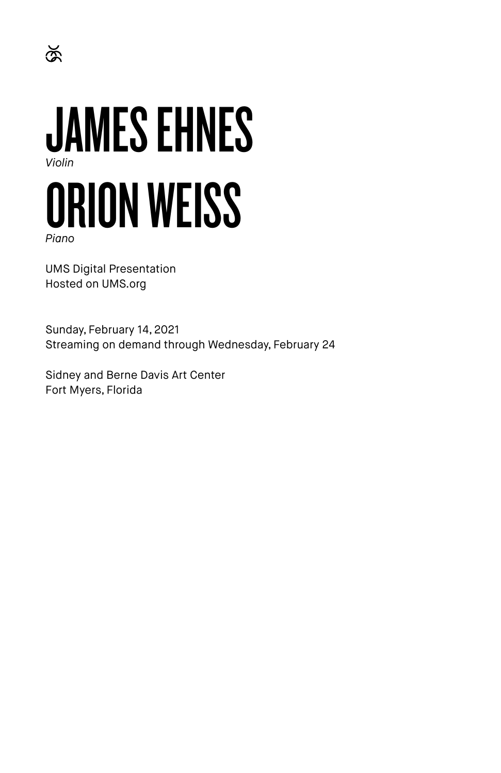

*Piano*

 $\breve{\mathbb{R}}$ 

UMS Digital Presentation Hosted on UMS.org

Sunday, February 14, 2021 Streaming on demand through Wednesday, February 24

Sidney and Berne Davis Art Center Fort Myers, Florida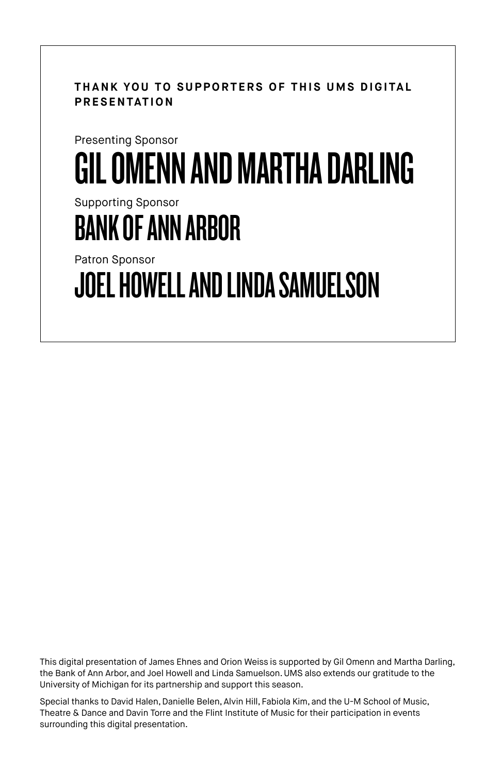**THANK YOU TO SUPPORTERS OF THIS UMS DIGITAL PRESENTATION**

# Presenting Sponsor GIL OMENN AND MARTHA DARLING

Supporting Sponsor

# BANK OF ANN ARBOR

Patron Sponsor

JOEL HOWELL AND LINDA SAMUELSON

This digital presentation of James Ehnes and Orion Weiss is supported by Gil Omenn and Martha Darling, the Bank of Ann Arbor, and Joel Howell and Linda Samuelson. UMS also extends our gratitude to the University of Michigan for its partnership and support this season.

Special thanks to David Halen, Danielle Belen, Alvin Hill, Fabiola Kim, and the U-M School of Music, Theatre & Dance and Davin Torre and the Flint Institute of Music for their participation in events surrounding this digital presentation.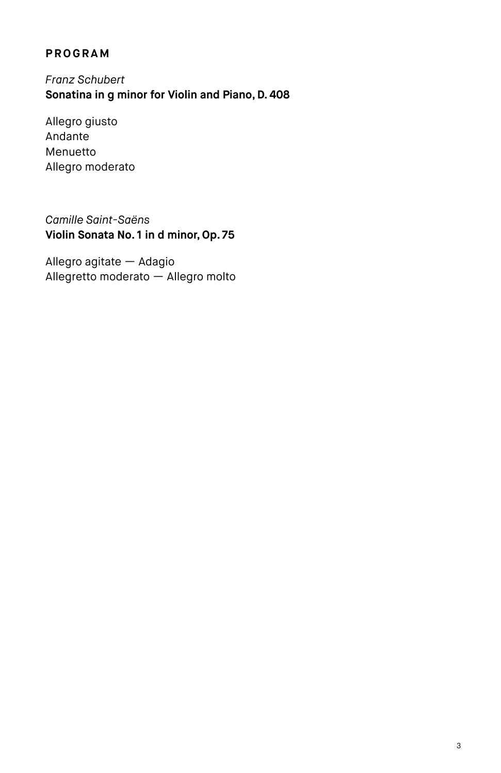## **PROGRAM**

*Franz Schubert* **Sonatina in g minor for Violin and Piano, D. 408**

Allegro giusto Andante Menuetto Allegro moderato

*Camille Saint-Saëns* **Violin Sonata No. 1 in d minor, Op. 75**

Allegro agitate — Adagio Allegretto moderato — Allegro molto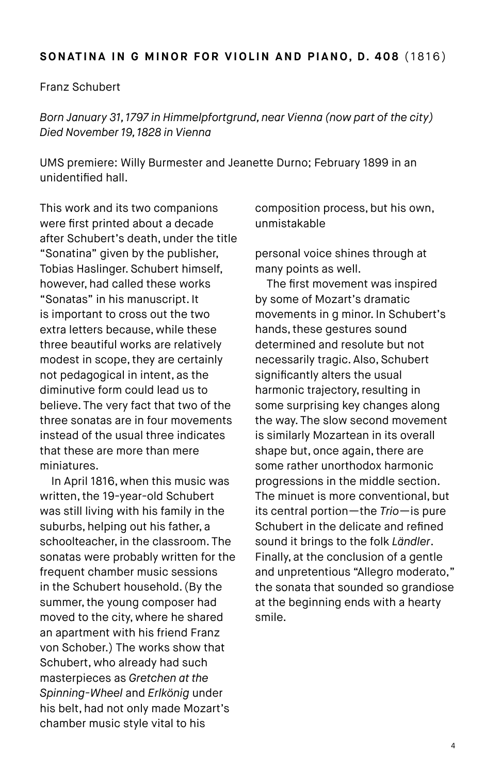#### **SONATINA IN G MINOR FOR VIOLIN AND PIANO, D. 408** (1816)

#### Franz Schubert

*Born January 31, 1797 in Himmelpfortgrund, near Vienna (now part of the city) Died November 19, 1828 in Vienna*

UMS premiere: Willy Burmester and Jeanette Durno; February 1899 in an unidentified hall.

This work and its two companions were first printed about a decade after Schubert's death, under the title "Sonatina" given by the publisher, Tobias Haslinger. Schubert himself, however, had called these works "Sonatas" in his manuscript. It is important to cross out the two extra letters because, while these three beautiful works are relatively modest in scope, they are certainly not pedagogical in intent, as the diminutive form could lead us to believe. The very fact that two of the three sonatas are in four movements instead of the usual three indicates that these are more than mere miniatures.

In April 1816, when this music was written, the 19-year-old Schubert was still living with his family in the suburbs, helping out his father, a schoolteacher, in the classroom. The sonatas were probably written for the frequent chamber music sessions in the Schubert household. (By the summer, the young composer had moved to the city, where he shared an apartment with his friend Franz von Schober.) The works show that Schubert, who already had such masterpieces as *Gretchen at the Spinning-Wheel* and *Erlkönig* under his belt, had not only made Mozart's chamber music style vital to his

composition process, but his own, unmistakable

personal voice shines through at many points as well.

The first movement was inspired by some of Mozart's dramatic movements in g minor. In Schubert's hands, these gestures sound determined and resolute but not necessarily tragic. Also, Schubert significantly alters the usual harmonic trajectory, resulting in some surprising key changes along the way. The slow second movement is similarly Mozartean in its overall shape but, once again, there are some rather unorthodox harmonic progressions in the middle section. The minuet is more conventional, but its central portion—the *Trio*—is pure Schubert in the delicate and refined sound it brings to the folk *Ländler*. Finally, at the conclusion of a gentle and unpretentious "Allegro moderato," the sonata that sounded so grandiose at the beginning ends with a hearty smile.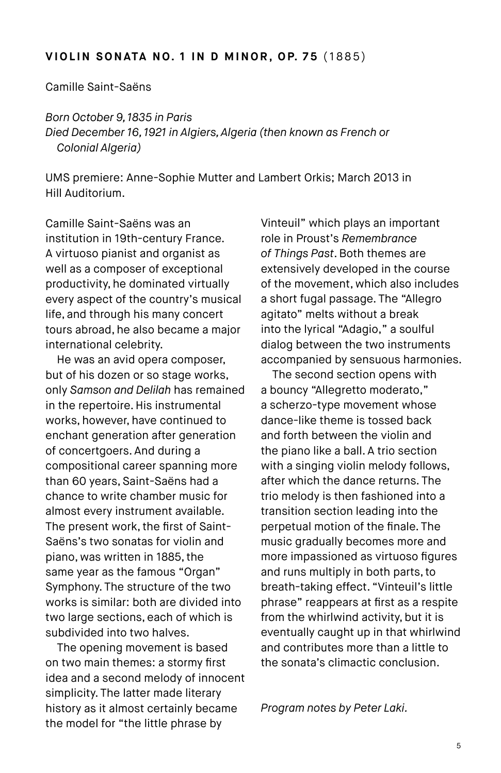#### **VIOLIN SONATA NO. 1 IN D MINOR, OP. 75 (1885)**

Camille Saint-Saëns

*Born October 9, 1835 in Paris Died December 16, 1921 in Algiers, Algeria (then known as French or Colonial Algeria)* 

UMS premiere: Anne-Sophie Mutter and Lambert Orkis; March 2013 in Hill Auditorium.

Camille Saint-Saëns was an institution in 19th-century France. A virtuoso pianist and organist as well as a composer of exceptional productivity, he dominated virtually every aspect of the country's musical life, and through his many concert tours abroad, he also became a major international celebrity.

He was an avid opera composer, but of his dozen or so stage works, only *Samson and Delilah* has remained in the repertoire. His instrumental works, however, have continued to enchant generation after generation of concertgoers. And during a compositional career spanning more than 60 years, Saint-Saëns had a chance to write chamber music for almost every instrument available. The present work, the first of Saint-Saëns's two sonatas for violin and piano, was written in 1885, the same year as the famous "Organ" Symphony. The structure of the two works is similar: both are divided into two large sections, each of which is subdivided into two halves.

The opening movement is based on two main themes: a stormy first idea and a second melody of innocent simplicity. The latter made literary history as it almost certainly became the model for "the little phrase by

Vinteuil" which plays an important role in Proust's *Remembrance of Things Past*. Both themes are extensively developed in the course of the movement, which also includes a short fugal passage. The "Allegro agitato" melts without a break into the lyrical "Adagio," a soulful dialog between the two instruments accompanied by sensuous harmonies.

The second section opens with a bouncy "Allegretto moderato," a scherzo-type movement whose dance-like theme is tossed back and forth between the violin and the piano like a ball. A trio section with a singing violin melody follows, after which the dance returns. The trio melody is then fashioned into a transition section leading into the perpetual motion of the finale. The music gradually becomes more and more impassioned as virtuoso figures and runs multiply in both parts, to breath-taking effect. "Vinteuil's little phrase" reappears at first as a respite from the whirlwind activity, but it is eventually caught up in that whirlwind and contributes more than a little to the sonata's climactic conclusion.

*Program notes by Peter Laki.*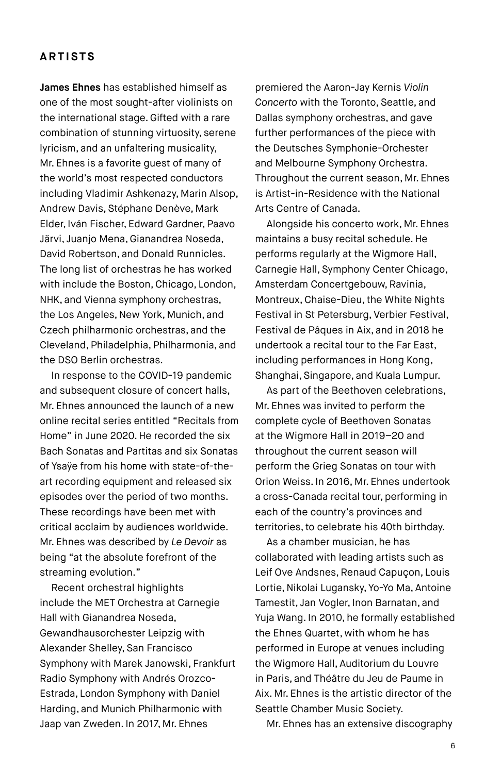### **ARTISTS**

**James Ehnes** has established himself as one of the most sought-after violinists on the international stage. Gifted with a rare combination of stunning virtuosity, serene lyricism, and an unfaltering musicality, Mr. Ehnes is a favorite guest of many of the world's most respected conductors including Vladimir Ashkenazy, Marin Alsop, Andrew Davis, Stéphane Denève, Mark Elder, Iván Fischer, Edward Gardner, Paavo Järvi, Juanjo Mena, Gianandrea Noseda, David Robertson, and Donald Runnicles. The long list of orchestras he has worked with include the Boston, Chicago, London, NHK, and Vienna symphony orchestras, the Los Angeles, New York, Munich, and Czech philharmonic orchestras, and the Cleveland, Philadelphia, Philharmonia, and the DSO Berlin orchestras.

In response to the COVID-19 pandemic and subsequent closure of concert halls, Mr. Ehnes announced the launch of a new online recital series entitled "Recitals from Home" in June 2020. He recorded the six Bach Sonatas and Partitas and six Sonatas of Ysaÿe from his home with state-of-theart recording equipment and released six episodes over the period of two months. These recordings have been met with critical acclaim by audiences worldwide. Mr. Ehnes was described by *Le Devoir* as being "at the absolute forefront of the streaming evolution."

Recent orchestral highlights include the MET Orchestra at Carnegie Hall with Gianandrea Noseda, Gewandhausorchester Leipzig with Alexander Shelley, San Francisco Symphony with Marek Janowski, Frankfurt Radio Symphony with Andrés Orozco-Estrada, London Symphony with Daniel Harding, and Munich Philharmonic with Jaap van Zweden. In 2017, Mr. Ehnes

premiered the Aaron-Jay Kernis *Violin Concerto* with the Toronto, Seattle, and Dallas symphony orchestras, and gave further performances of the piece with the Deutsches Symphonie-Orchester and Melbourne Symphony Orchestra. Throughout the current season, Mr. Ehnes is Artist-in-Residence with the National Arts Centre of Canada.

Alongside his concerto work, Mr. Ehnes maintains a busy recital schedule. He performs regularly at the Wigmore Hall, Carnegie Hall, Symphony Center Chicago, Amsterdam Concertgebouw, Ravinia, Montreux, Chaise-Dieu, the White Nights Festival in St Petersburg, Verbier Festival, Festival de Pâques in Aix, and in 2018 he undertook a recital tour to the Far East, including performances in Hong Kong, Shanghai, Singapore, and Kuala Lumpur.

As part of the Beethoven celebrations, Mr. Ehnes was invited to perform the complete cycle of Beethoven Sonatas at the Wigmore Hall in 2019–20 and throughout the current season will perform the Grieg Sonatas on tour with Orion Weiss. In 2016, Mr. Ehnes undertook a cross-Canada recital tour, performing in each of the country's provinces and territories, to celebrate his 40th birthday.

As a chamber musician, he has collaborated with leading artists such as Leif Ove Andsnes, Renaud Capuçon, Louis Lortie, Nikolai Lugansky, Yo-Yo Ma, Antoine Tamestit, Jan Vogler, Inon Barnatan, and Yuja Wang. In 2010, he formally established the Ehnes Quartet, with whom he has performed in Europe at venues including the Wigmore Hall, Auditorium du Louvre in Paris, and Théâtre du Jeu de Paume in Aix. Mr. Ehnes is the artistic director of the Seattle Chamber Music Society.

Mr. Ehnes has an extensive discography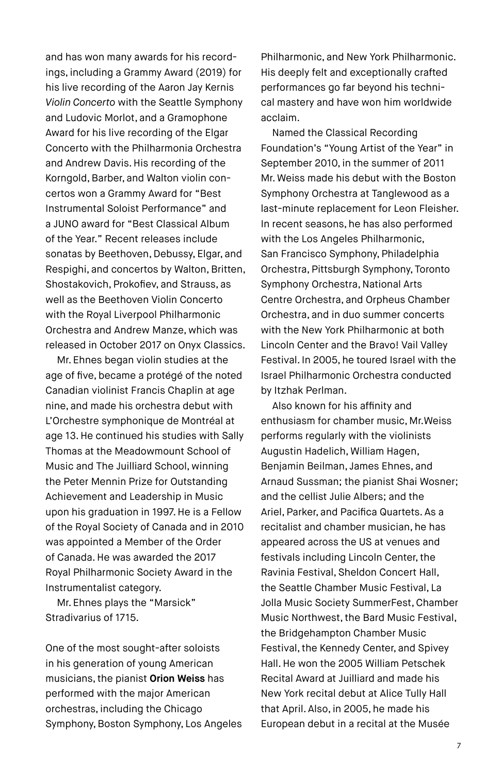and has won many awards for his recordings, including a Grammy Award (2019) for his live recording of the Aaron Jay Kernis *Violin Concerto* with the Seattle Symphony and Ludovic Morlot, and a Gramophone Award for his live recording of the Elgar Concerto with the Philharmonia Orchestra and Andrew Davis. His recording of the Korngold, Barber, and Walton violin concertos won a Grammy Award for "Best Instrumental Soloist Performance" and a JUNO award for "Best Classical Album of the Year." Recent releases include sonatas by Beethoven, Debussy, Elgar, and Respighi, and concertos by Walton, Britten, Shostakovich, Prokofiev, and Strauss, as well as the Beethoven Violin Concerto with the Royal Liverpool Philharmonic Orchestra and Andrew Manze, which was released in October 2017 on Onyx Classics.

Mr. Ehnes began violin studies at the age of five, became a protégé of the noted Canadian violinist Francis Chaplin at age nine, and made his orchestra debut with L'Orchestre symphonique de Montréal at age 13. He continued his studies with Sally Thomas at the Meadowmount School of Music and The Juilliard School, winning the Peter Mennin Prize for Outstanding Achievement and Leadership in Music upon his graduation in 1997. He is a Fellow of the Royal Society of Canada and in 2010 was appointed a Member of the Order of Canada. He was awarded the 2017 Royal Philharmonic Society Award in the Instrumentalist category.

Mr. Ehnes plays the "Marsick" Stradivarius of 1715.

One of the most sought-after soloists in his generation of young American musicians, the pianist **Orion Weiss** has performed with the major American orchestras, including the Chicago Symphony, Boston Symphony, Los Angeles Philharmonic, and New York Philharmonic. His deeply felt and exceptionally crafted performances go far beyond his technical mastery and have won him worldwide acclaim.

Named the Classical Recording Foundation's "Young Artist of the Year" in September 2010, in the summer of 2011 Mr. Weiss made his debut with the Boston Symphony Orchestra at Tanglewood as a last-minute replacement for Leon Fleisher. In recent seasons, he has also performed with the Los Angeles Philharmonic, San Francisco Symphony, Philadelphia Orchestra, Pittsburgh Symphony, Toronto Symphony Orchestra, National Arts Centre Orchestra, and Orpheus Chamber Orchestra, and in duo summer concerts with the New York Philharmonic at both Lincoln Center and the Bravo! Vail Valley Festival. In 2005, he toured Israel with the Israel Philharmonic Orchestra conducted by Itzhak Perlman.

Also known for his affinity and enthusiasm for chamber music, Mr.Weiss performs regularly with the violinists Augustin Hadelich, William Hagen, Benjamin Beilman, James Ehnes, and Arnaud Sussman; the pianist Shai Wosner; and the cellist Julie Albers; and the Ariel, Parker, and Pacifica Quartets. As a recitalist and chamber musician, he has appeared across the US at venues and festivals including Lincoln Center, the Ravinia Festival, Sheldon Concert Hall, the Seattle Chamber Music Festival, La Jolla Music Society SummerFest, Chamber Music Northwest, the Bard Music Festival, the Bridgehampton Chamber Music Festival, the Kennedy Center, and Spivey Hall. He won the 2005 William Petschek Recital Award at Juilliard and made his New York recital debut at Alice Tully Hall that April. Also, in 2005, he made his European debut in a recital at the Musée